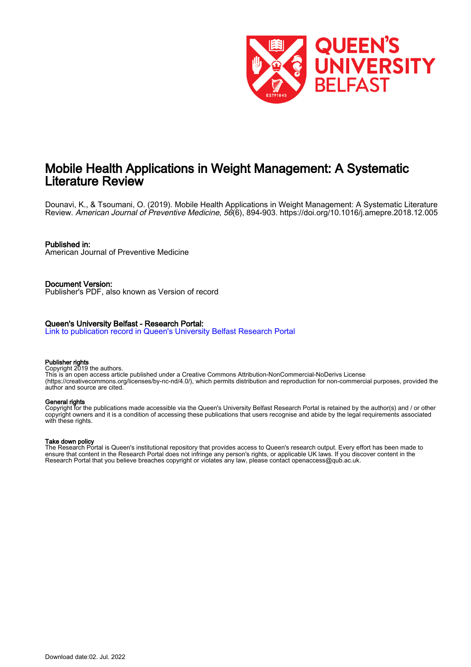

# Mobile Health Applications in Weight Management: A Systematic Literature Review

Dounavi, K., & Tsoumani, O. (2019). Mobile Health Applications in Weight Management: A Systematic Literature Review. American Journal of Preventive Medicine, 56(6), 894-903. <https://doi.org/10.1016/j.amepre.2018.12.005>

## Published in:

American Journal of Preventive Medicine

Document Version: Publisher's PDF, also known as Version of record

## Queen's University Belfast - Research Portal:

[Link to publication record in Queen's University Belfast Research Portal](https://pure.qub.ac.uk/en/publications/171e3f0a-467a-4887-a501-c3add5feb1fd)

#### Publisher rights

Copyright 2019 the authors.

This is an open access article published under a Creative Commons Attribution-NonCommercial-NoDerivs License (https://creativecommons.org/licenses/by-nc-nd/4.0/), which permits distribution and reproduction for non-commercial purposes, provided the author and source are cited.

#### General rights

Copyright for the publications made accessible via the Queen's University Belfast Research Portal is retained by the author(s) and / or other copyright owners and it is a condition of accessing these publications that users recognise and abide by the legal requirements associated with these rights.

## Take down policy

The Research Portal is Queen's institutional repository that provides access to Queen's research output. Every effort has been made to ensure that content in the Research Portal does not infringe any person's rights, or applicable UK laws. If you discover content in the Research Portal that you believe breaches copyright or violates any law, please contact openaccess@qub.ac.uk.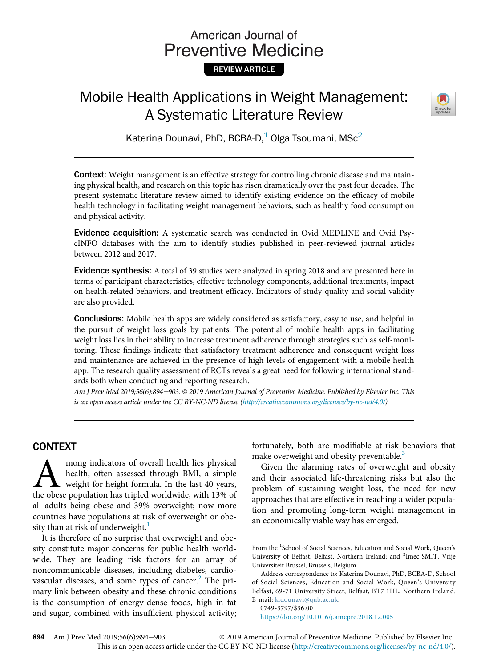# American Journal of **Preventive Medicine**

# REVIEW ARTICLE

# Mobile Health Applications in Weight Management: A Systematic Literature Review



Katerina Dounavi, PhD, BCBA-D, $<sup>1</sup>$  Olga Tsoumani, MSc<sup>2</sup></sup>

Context: Weight management is an effective strategy for controlling chronic disease and maintaining physical health, and research on this topic has risen dramatically over the past four decades. The present systematic literature review aimed to identify existing evidence on the efficacy of mobile health technology in facilitating weight management behaviors, such as healthy food consumption and physical activity.

Evidence acquisition: A systematic search was conducted in Ovid MEDLINE and Ovid PsycINFO databases with the aim to identify studies published in peer-reviewed journal articles between 2012 and 2017.

Evidence synthesis: A total of 39 studies were analyzed in spring 2018 and are presented here in terms of participant characteristics, effective technology components, additional treatments, impact on health-related behaviors, and treatment efficacy. Indicators of study quality and social validity are also provided.

Conclusions: Mobile health apps are widely considered as satisfactory, easy to use, and helpful in the pursuit of weight loss goals by patients. The potential of mobile health apps in facilitating weight loss lies in their ability to increase treatment adherence through strategies such as self-monitoring. These findings indicate that satisfactory treatment adherence and consequent weight loss and maintenance are achieved in the presence of high levels of engagement with a mobile health app. The research quality assessment of RCTs reveals a great need for following international standards both when conducting and reporting research.

Am J Prev Med 2019;56(6):894−903. © 2019 American Journal of Preventive Medicine. Published by Elsevier Inc. This is an open access article under the CC BY-NC-ND license [\(http://creativecommons.org/licenses/by-nc-nd/4.0/\)](http://creativecommons.org/licenses/by-nc-nd/4.0/).

# CONTEXT

mong indicators of overall health lies physical health, often assessed through BMI, a simple weight for height formula. In the last 40 years, the obese population has tripled worldwide, with 13% of all adults being obese and 39% overweight; now more countries have populations at risk of overweight or obe-sity than at risk of underweight.<sup>[1](#page-7-0)</sup>

It is therefore of no surprise that overweight and obesity constitute major concerns for public health worldwide. They are leading risk factors for an array of noncommunicable diseases, including diabetes, cardiovascular diseases, and some types of cancer. $<sup>2</sup>$  $<sup>2</sup>$  $<sup>2</sup>$  The pri-</sup> mary link between obesity and these chronic conditions is the consumption of energy-dense foods, high in fat and sugar, combined with insufficient physical activity; fortunately, both are modifiable at-risk behaviors that make overweight and obesity preventable.<sup>3</sup>

Given the alarming rates of overweight and obesity and their associated life-threatening risks but also the problem of sustaining weight loss, the need for new approaches that are effective in reaching a wider population and promoting long-term weight management in an economically viable way has emerged.

<https://doi.org/10.1016/j.amepre.2018.12.005>

From the <sup>1</sup>School of Social Sciences, Education and Social Work, Queen's University of Belfast, Belfast, Northern Ireland; and <sup>2</sup>Imec-SMIT, Vrije Universiteit Brussel, Brussels, Belgium

Address correspondence to: Katerina Dounavi, PhD, BCBA-D, School of Social Sciences, Education and Social Work, Queen's University Belfast, 69-71 University Street, Belfast, BT7 1HL, Northern Ireland. E-mail: [k.dounavi@qub.ac.uk](mailto:k.dounavi@qub.ac.uk).

<sup>0749-3797/\$36.00</sup>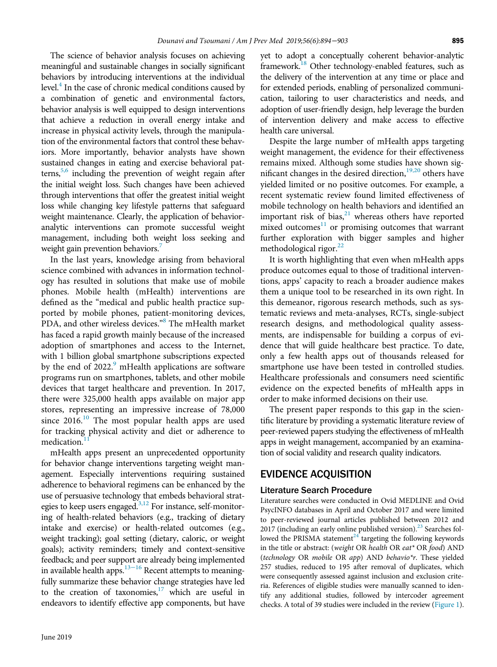The science of behavior analysis focuses on achieving meaningful and sustainable changes in socially significant behaviors by introducing interventions at the individual level.<sup>4</sup> In the case of chronic medical conditions caused by a combination of genetic and environmental factors, behavior analysis is well equipped to design interventions that achieve a reduction in overall energy intake and increase in physical activity levels, through the manipulation of the environmental factors that control these behaviors. More importantly, behavior analysts have shown sustained changes in eating and exercise behavioral patterns, $5,6$  including the prevention of weight regain after the initial weight loss. Such changes have been achieved through interventions that offer the greatest initial weight loss while changing key lifestyle patterns that safeguard weight maintenance. Clearly, the application of behavioranalytic interventions can promote successful weight management, including both weight loss seeking and weight gain prevention behaviors.

In the last years, knowledge arising from behavioral science combined with advances in information technology has resulted in solutions that make use of mobile phones. Mobile health (mHealth) interventions are defined as the "medical and public health practice supported by mobile phones, patient-monitoring devices, PDA, and other wireless devices."<sup>[8](#page-8-4)</sup> The mHealth market has faced a rapid growth mainly because of the increased adoption of smartphones and access to the Internet, with 1 billion global smartphone subscriptions expected by the end of 2022.<sup>[9](#page-8-5)</sup> mHealth applications are software programs run on smartphones, tablets, and other mobile devices that target healthcare and prevention. In 2017, there were 325,000 health apps available on major app stores, representing an impressive increase of 78,000 since 2016.<sup>[10](#page-8-6)</sup> The most popular health apps are used for tracking physical activity and diet or adherence to medication.

mHealth apps present an unprecedented opportunity for behavior change interventions targeting weight management. Especially interventions requiring sustained adherence to behavioral regimens can be enhanced by the use of persuasive technology that embeds behavioral strategies to keep users engaged.<sup>3,12</sup> For instance, self-monitoring of health-related behaviors (e.g., tracking of dietary intake and exercise) or health-related outcomes (e.g., weight tracking); goal setting (dietary, caloric, or weight goals); activity reminders; timely and context-sensitive feedback; and peer support are already being implemented in available health apps. $13-16$  Recent attempts to meaningfully summarize these behavior change strategies have led to the creation of taxonomies, $17$  which are useful in endeavors to identify effective app components, but have

yet to adopt a conceptually coherent behavior-analytic framework.<sup>18</sup> Other technology-enabled features, such as the delivery of the intervention at any time or place and for extended periods, enabling of personalized communication, tailoring to user characteristics and needs, and adoption of user-friendly design, help leverage the burden of intervention delivery and make access to effective health care universal.

Despite the large number of mHealth apps targeting weight management, the evidence for their effectiveness remains mixed. Although some studies have shown sig-nificant changes in the desired direction,<sup>[19,20](#page-8-11)</sup> others have yielded limited or no positive outcomes. For example, a recent systematic review found limited effectiveness of mobile technology on health behaviors and identified an important risk of bias, $21$  whereas others have reported mixed outcomes $11$  or promising outcomes that warrant further exploration with bigger samples and higher methodological rigor.<sup>22</sup>

It is worth highlighting that even when mHealth apps produce outcomes equal to those of traditional interventions, apps' capacity to reach a broader audience makes them a unique tool to be researched in its own right. In this demeanor, rigorous research methods, such as systematic reviews and meta-analyses, RCTs, single-subject research designs, and methodological quality assessments, are indispensable for building a corpus of evidence that will guide healthcare best practice. To date, only a few health apps out of thousands released for smartphone use have been tested in controlled studies. Healthcare professionals and consumers need scientific evidence on the expected benefits of mHealth apps in order to make informed decisions on their use.

The present paper responds to this gap in the scientific literature by providing a systematic literature review of peer-reviewed papers studying the effectiveness of mHealth apps in weight management, accompanied by an examination of social validity and research quality indicators.

# EVIDENCE ACQUISITION

# Literature Search Procedure

Literature searches were conducted in Ovid MEDLINE and Ovid PsycINFO databases in April and October 2017 and were limited to peer-reviewed journal articles published between 2012 and 2017 (including an early online published version).<sup>[23](#page-8-14)</sup> Searches followed the PRISMA statement $^{24}$  $^{24}$  $^{24}$  targeting the following keywords in the title or abstract: (weight OR health OR eat\* OR food) AND (technology OR mobile OR app) AND behavio\*r. These yielded 257 studies, reduced to 195 after removal of duplicates, which were consequently assessed against inclusion and exclusion criteria. References of eligible studies were manually scanned to identify any additional studies, followed by intercoder agreement checks. A total of 39 studies were included in the review ([Figure 1\)](#page-3-0).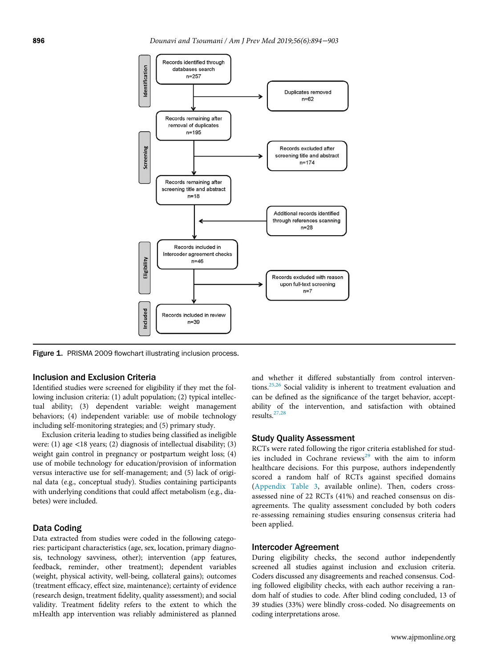<span id="page-3-0"></span>

Figure 1. PRISMA 2009 flowchart illustrating inclusion process.

#### Inclusion and Exclusion Criteria

Identified studies were screened for eligibility if they met the following inclusion criteria: (1) adult population; (2) typical intellectual ability; (3) dependent variable: weight management behaviors; (4) independent variable: use of mobile technology including self-monitoring strategies; and (5) primary study.

Exclusion criteria leading to studies being classified as ineligible were: (1) age <18 years; (2) diagnosis of intellectual disability; (3) weight gain control in pregnancy or postpartum weight loss; (4) use of mobile technology for education/provision of information versus interactive use for self-management; and (5) lack of original data (e.g., conceptual study). Studies containing participants with underlying conditions that could affect metabolism (e.g., diabetes) were included.

## Data Coding

Data extracted from studies were coded in the following categories: participant characteristics (age, sex, location, primary diagnosis, technology savviness, other); intervention (app features, feedback, reminder, other treatment); dependent variables (weight, physical activity, well-being, collateral gains); outcomes (treatment efficacy, effect size, maintenance); certainty of evidence (research design, treatment fidelity, quality assessment); and social validity. Treatment fidelity refers to the extent to which the mHealth app intervention was reliably administered as planned

and whether it differed substantially from control interventions.[25,26](#page-8-16) Social validity is inherent to treatment evaluation and can be defined as the significance of the target behavior, acceptability of the intervention, and satisfaction with obtained results.[27,28](#page-8-17)

#### Study Quality Assessment

RCTs were rated following the rigor criteria established for stud-ies included in Cochrane reviews<sup>[29](#page-8-18)</sup> with the aim to inform healthcare decisions. For this purpose, authors independently scored a random half of RCTs against specified domains [\(Appendix Table 3](#page-7-2), available online). Then, coders crossassessed nine of 22 RCTs (41%) and reached consensus on disagreements. The quality assessment concluded by both coders re-assessing remaining studies ensuring consensus criteria had been applied.

#### Intercoder Agreement

During eligibility checks, the second author independently screened all studies against inclusion and exclusion criteria. Coders discussed any disagreements and reached consensus. Coding followed eligibility checks, with each author receiving a random half of studies to code. After blind coding concluded, 13 of 39 studies (33%) were blindly cross-coded. No disagreements on coding interpretations arose.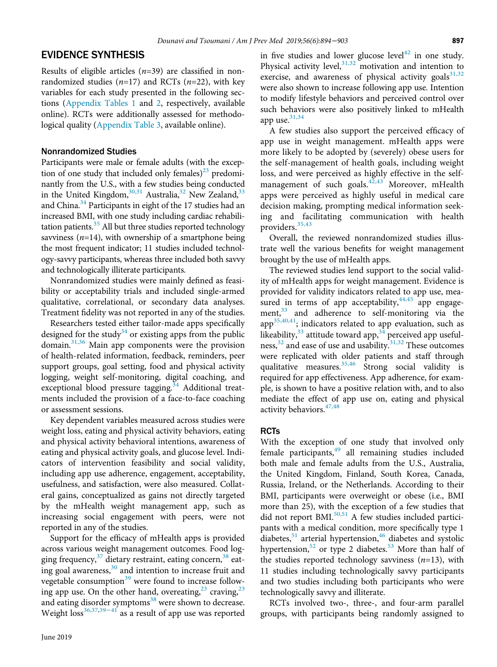# EVIDENCE SYNTHESIS

Results of eligible articles  $(n=39)$  are classified in nonrandomized studies ( $n=17$ ) and RCTs ( $n=22$ ), with key variables for each study presented in the following sections [\(Appendix Tables 1](#page-7-2) and [2,](#page-7-2) respectively, available online). RCTs were additionally assessed for methodological quality ([Appendix Table 3](#page-7-2), available online).

## Nonrandomized Studies

Participants were male or female adults (with the exception of one study that included only females)<sup>23</sup> predominantly from the U.S., with a few studies being conducted in the United Kingdom,  $30,31$  Australia,  $32$  New Zealand,  $33$ and China.<sup>[34](#page-8-22)</sup> Participants in eight of the 17 studies had an increased BMI, with one study including cardiac rehabilitation patients. $35$  All but three studies reported technology savviness ( $n=14$ ), with ownership of a smartphone being the most frequent indicator; 11 studies included technology-savvy participants, whereas three included both savvy and technologically illiterate participants.

Nonrandomized studies were mainly defined as feasibility or acceptability trials and included single-armed qualitative, correlational, or secondary data analyses. Treatment fidelity was not reported in any of the studies.

Researchers tested either tailor-made apps specifically designed for the study<sup>34</sup> or existing apps from the public domain. $31,36$  Main app components were the provision of health-related information, feedback, reminders, peer support groups, goal setting, food and physical activity logging, weight self-monitoring, digital coaching, and exceptional blood pressure tagging.<sup>[34](#page-8-22)</sup> Additional treatments included the provision of a face-to-face coaching or assessment sessions.

Key dependent variables measured across studies were weight loss, eating and physical activity behaviors, eating and physical activity behavioral intentions, awareness of eating and physical activity goals, and glucose level. Indicators of intervention feasibility and social validity, including app use adherence, engagement, acceptability, usefulness, and satisfaction, were also measured. Collateral gains, conceptualized as gains not directly targeted by the mHealth weight management app, such as increasing social engagement with peers, were not reported in any of the studies.

Support for the efficacy of mHealth apps is provided across various weight management outcomes. Food logging frequency,  $37$  dietary restraint, eating concern,  $38$  eating goal awareness, $30$  and intention to increase fruit and vegetable consumption $39$  were found to increase following app use. On the other hand, overeating,  $2^3$  craving,  $2^3$ and eating disor[der sy](#page-8-27)mptoms $38$  were shown to decrease. Weight  $loss^{36,37,39-41}$  $loss^{36,37,39-41}$  $loss^{36,37,39-41}$  as a result of app use was reported

in five studies and lower glucose level<sup>[42](#page-9-0)</sup> in one study. Physical activity level, $31,32$  motivation and intention to exercise, and awareness of physical activity goals $31,32$ were also shown to increase following app use. Intention to modify lifestyle behaviors and perceived control over such behaviors were also positively linked to mHealth app use. $31,34$ 

A few studies also support the perceived efficacy of app use in weight management. mHealth apps were more likely to be adopted by (severely) obese users for the self-management of health goals, including weight loss, and were perceived as highly effective in the self-management of such goals.<sup>[42,43](#page-9-0)</sup> Moreover, mHealth apps were perceived as highly useful in medical care decision making, prompting medical information seeking and facilitating communication with health providers.[35,43](#page-8-23)

Overall, the reviewed nonrandomized studies illustrate well the various benefits for weight management brought by the use of mHealth apps.

The reviewed studies lend support to the social validity of mHealth apps for weight management. Evidence is provided for validity indicators related to app use, measured in terms of app acceptability,  $44,45$  app engagement, $33$  and adherence to self-monitoring via the  $app<sup>35,40,41</sup>$ ; indicators related to app evaluation, such as likeability,  $33$  attitude toward app,  $34$  perceived app usefulness, $32$  and ease of use and usability.  $31,32$  These outcomes were replicated with older patients and staff through qualitative measures.<sup>[35,46](#page-8-23)</sup> Strong social validity is required for app effectiveness. App adherence, for example, is shown to have a positive relation with, and to also mediate the effect of app use on, eating and physical activity behaviors.  $47,48$ 

## **RCTs**

With the exception of one study that involved only female participants,<sup>[49](#page-9-3)</sup> all remaining studies included both male and female adults from the U.S., Australia, the United Kingdom, Finland, South Korea, Canada, Russia, Ireland, or the Netherlands. According to their BMI, participants were overweight or obese (i.e., BMI more than 25), with the exception of a few studies that did not report BMI.<sup>[50,51](#page-9-4)</sup> A few studies included participants with a medical condition, more specifically type 1 diabetes, $51$  arterial hypertension, $46$  diabetes and systolic hypertension,<sup>[52](#page-9-7)</sup> or type 2 diabetes.<sup>53</sup> More than half of the studies reported technology savviness  $(n=13)$ , with 11 studies including technologically savvy participants and two studies including both participants who were technologically savvy and illiterate.

RCTs involved two-, three-, and four-arm parallel groups, with participants being randomly assigned to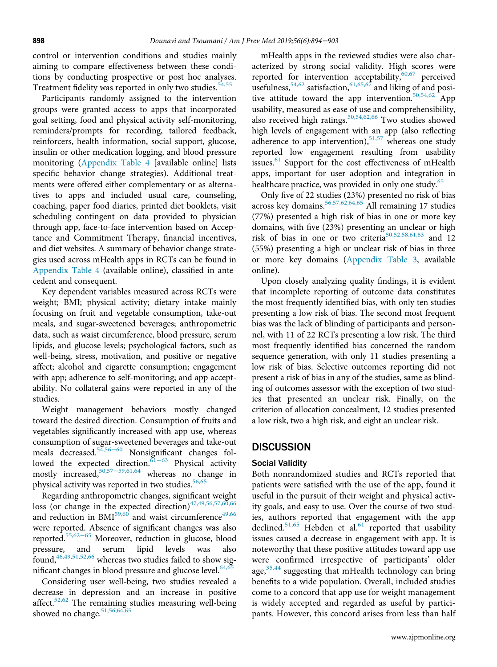control or intervention conditions and studies mainly aiming to compare effectiveness between these conditions by conducting prospective or post hoc analyses. Treatment fidelity was reported in only two studies.<sup>[54,55](#page-9-9)</sup>

Participants randomly assigned to the intervention groups were granted access to apps that incorporated goal setting, food and physical activity self-monitoring, reminders/prompts for recording, tailored feedback, reinforcers, health information, social support, glucose, insulin or other medication logging, and blood pressure monitoring [\(Appendix Table 4](#page-7-2) [available online] lists specific behavior change strategies). Additional treatments were offered either complementary or as alternatives to apps and included usual care, counseling, coaching, paper food diaries, printed diet booklets, visit scheduling contingent on data provided to physician through app, face-to-face intervention based on Acceptance and Commitment Therapy, financial incentives, and diet websites. A summary of behavior change strategies used across mHealth apps in RCTs can be found in [Appendix Table 4](#page-7-2) (available online), classified in antecedent and consequent.

Key dependent variables measured across RCTs were weight; BMI; physical activity; dietary intake mainly focusing on fruit and vegetable consumption, take-out meals, and sugar-sweetened beverages; anthropometric data, such as waist circumference, blood pressure, serum lipids, and glucose levels; psychological factors, such as well-being, stress, motivation, and positive or negative affect; alcohol and cigarette consumption; engagement with app; adherence to self-monitoring; and app acceptability. No collateral gains were reported in any of the studies.

Weight management behaviors mostly changed toward the desired direction. Consumption of fruits and vegetables significantly increased with app use, whereas consumption of sugar-sweetened beverages and take-out meals decreased.<sup>[54,](#page-9-9)[56](#page-9-10)−60</sup> Nonsignificant changes followed the expected direction.61−[63](#page-9-11) Physical activity mostly increased,[50,5](#page-9-4)7−[59,](#page-9-12)[61,64](#page-9-11) whereas no change in physical activity was reported in two studies.<sup>[56,65](#page-9-10)</sup>

Regarding anthropometric changes, significant weight loss (or change in the expected direction) $47,49,56,57,60,66$ and reduction in  $BMI^{59,60}$  $BMI^{59,60}$  $BMI^{59,60}$  and waist circumference<sup>[49,66](#page-9-3)</sup> were reported. Absence of significant changes was also reported.[55,](#page-9-14)[62](#page-9-15)−<sup>65</sup> Moreover, reduction in glucose, blood pressure, and serum lipid levels was also found, $46,49,51,52,66$  whereas two studies failed to show significant changes in blood pressure and glucose level. $64,65$ 

Considering user well-being, two studies revealed a decrease in depression and an increase in positive affect.<sup>[52,62](#page-9-7)</sup> The remaining studies measuring well-being showed no change.<sup>[51,56,64,65](#page-9-5)</sup>

mHealth apps in the reviewed studies were also characterized by strong social validity. High scores were reported for intervention acceptability,  $60,67$  perceived usefulness,  $54,62$  satisfaction,  $61,65,67$  and liking of and posi-tive attitude toward the app intervention.<sup>[50,54,62](#page-9-4)</sup> App usability, measured as ease of use and comprehensibility, also received high ratings. $50,54,62,66$  Two studies showed high levels of engagement with an app (also reflecting adherence to app intervention), $51,57$  whereas one study reported low engagement resulting from usability issues.<sup>61</sup> Support for the cost effectiveness of mHealth apps, important for user adoption and integration in healthcare practice, was provided in only one study.<sup>[65](#page-9-18)</sup>

Only five of 22 studies (23%) presented no risk of bias across key domains.<sup>[56,57,62,64,65](#page-9-10)</sup> All remaining 17 studies (77%) presented a high risk of bias in one or more key domains, with five (23%) presenting an unclear or high risk of bias in one or two criteria<sup>50,52,58,61,63</sup> and 12 (55%) presenting a high or unclear risk of bias in three or more key domains ([Appendix Table 3,](#page-7-2) available online).

Upon closely analyzing quality findings, it is evident that incomplete reporting of outcome data constitutes the most frequently identified bias, with only ten studies presenting a low risk of bias. The second most frequent bias was the lack of blinding of participants and personnel, with 11 of 22 RCTs presenting a low risk. The third most frequently identified bias concerned the random sequence generation, with only 11 studies presenting a low risk of bias. Selective outcomes reporting did not present a risk of bias in any of the studies, same as blinding of outcomes assessor with the exception of two studies that presented an unclear risk. Finally, on the criterion of allocation concealment, 12 studies presented a low risk, two a high risk, and eight an unclear risk.

# **DISCUSSION**

## Social Validity

Both nonrandomized studies and RCTs reported that patients were satisfied with the use of the app, found it useful in the pursuit of their weight and physical activity goals, and easy to use. Over the course of two studies, authors reported that engagement with the app declined.<sup>[51,65](#page-9-5)</sup> Hebden et al.<sup>[61](#page-9-11)</sup> reported that usability issues caused a decrease in engagement with app. It is noteworthy that these positive attitudes toward app use were confirmed irrespective of participants' older age,  $35,44$  suggesting that mHealth technology can bring benefits to a wide population. Overall, included studies come to a concord that app use for weight management is widely accepted and regarded as useful by participants. However, this concord arises from less than half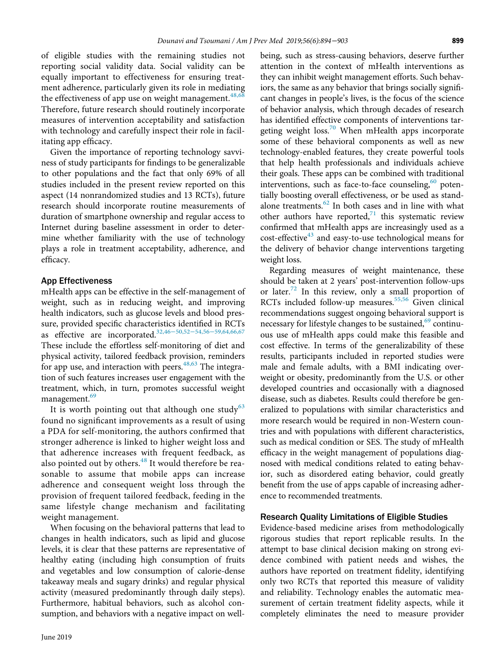of eligible studies with the remaining studies not reporting social validity data. Social validity can be equally important to effectiveness for ensuring treatment adherence, particularly given its role in mediating the effectiveness of app use on weight management.  $48,68$ Therefore, future research should routinely incorporate measures of intervention acceptability and satisfaction with technology and carefully inspect their role in facilitating app efficacy.

Given the importance of reporting technology savviness of study participants for findings to be generalizable to other populations and the fact that only 69% of all studies included in the present review reported on this aspect (14 nonrandomized studies and 13 RCTs), future research should incorporate routine measurements of duration of smartphone ownership and regular access to Internet during baseline assessment in order to determine whether familiarity with the use of technology plays a role in treatment acceptability, adherence, and efficacy.

## App Effectiveness

mHealth apps can be effective in the self-management of weight, such as in reducing weight, and improving health indicators, such as glucose levels and blood pressure, provided specific characteristics identified in RCTs as effective are incorporated.<sup>[32,](#page-8-20)46–[50,5](#page-9-6)2–[54,](#page-9-7)56–[59,](#page-9-10)[64,66,67](#page-9-16)</sup> These include the effortless self-monitoring of diet and physical activity, tailored feedback provision, reminders for app use, and interaction with peers.  $48,63$  The integration of such features increases user engagement with the treatment, which, in turn, promotes successful weight management.<sup>69</sup>

It is worth pointing out that although one study<sup>[63](#page-9-21)</sup> found no significant improvements as a result of using a PDA for self-monitoring, the authors confirmed that stronger adherence is linked to higher weight loss and that adherence increases with frequent feedback, as also pointed out by others.<sup>[48](#page-9-19)</sup> It would therefore be reasonable to assume that mobile apps can increase adherence and consequent weight loss through the provision of frequent tailored feedback, feeding in the same lifestyle change mechanism and facilitating weight management.

When focusing on the behavioral patterns that lead to changes in health indicators, such as lipid and glucose levels, it is clear that these patterns are representative of healthy eating (including high consumption of fruits and vegetables and low consumption of calorie-dense takeaway meals and sugary drinks) and regular physical activity (measured predominantly through daily steps). Furthermore, habitual behaviors, such as alcohol consumption, and behaviors with a negative impact on wellbeing, such as stress-causing behaviors, deserve further attention in the context of mHealth interventions as they can inhibit weight management efforts. Such behaviors, the same as any behavior that brings socially significant changes in people's lives, is the focus of the science of behavior analysis, which through decades of research has identified effective components of interventions targeting weight  $loss<sup>70</sup>$  $loss<sup>70</sup>$  $loss<sup>70</sup>$  When mHealth apps incorporate some of these behavioral components as well as new technology-enabled features, they create powerful tools that help health professionals and individuals achieve their goals. These apps can be combined with traditional interventions, such as face-to-face counseling,  $60$  potentially boosting overall effectiveness, or be used as standalone treatments. $62$  In both cases and in line with what other authors have reported, $71$  this systematic review confirmed that mHealth apps are increasingly used as a  $\cot$ -effective<sup>[43](#page-9-23)</sup> and easy-to-use technological means for the delivery of behavior change interventions targeting weight loss.

Regarding measures of weight maintenance, these should be taken at 2 years' post-intervention follow-ups or later. $72$  In this review, only a small proportion of RCTs included follow-up measures.<sup>[55,56](#page-9-14)</sup> Given clinical recommendations suggest ongoing behavioral support is necessary for lifestyle changes to be sustained,<sup>[69](#page-9-20)</sup> continuous use of mHealth apps could make this feasible and cost effective. In terms of the generalizability of these results, participants included in reported studies were male and female adults, with a BMI indicating overweight or obesity, predominantly from the U.S. or other developed countries and occasionally with a diagnosed disease, such as diabetes. Results could therefore be generalized to populations with similar characteristics and more research would be required in non-Western countries and with populations with different characteristics, such as medical condition or SES. The study of mHealth efficacy in the weight management of populations diagnosed with medical conditions related to eating behavior, such as disordered eating behavior, could greatly benefit from the use of apps capable of increasing adherence to recommended treatments.

#### Research Quality Limitations of Eligible Studies

Evidence-based medicine arises from methodologically rigorous studies that report replicable results. In the attempt to base clinical decision making on strong evidence combined with patient needs and wishes, the authors have reported on treatment fidelity, identifying only two RCTs that reported this measure of validity and reliability. Technology enables the automatic measurement of certain treatment fidelity aspects, while it completely eliminates the need to measure provider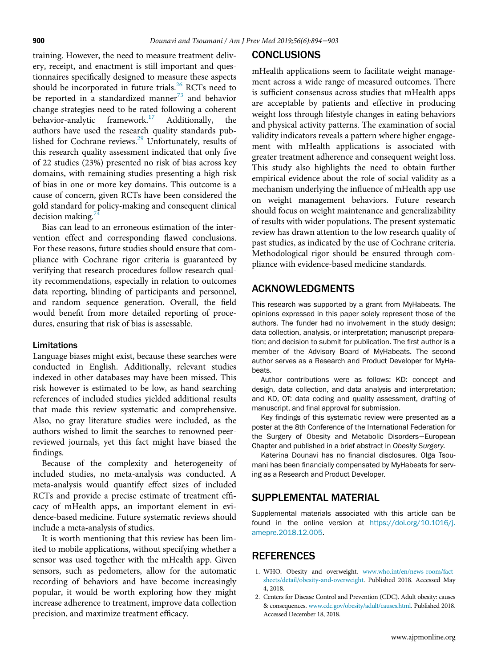training. However, the need to measure treatment delivery, receipt, and enactment is still important and questionnaires specifically designed to measure these aspects should be incorporated in future trials. $^{26}$  $^{26}$  $^{26}$  RCTs need to be reported in a standardized manner $^{73}$  and behavior change strategies need to be rated following a coherent behavior-analytic framework. $17$  Additionally, authors have used the research quality standards pub-lished for Cochrane reviews.<sup>[29](#page-8-18)</sup> Unfortunately, results of this research quality assessment indicated that only five of 22 studies (23%) presented no risk of bias across key domains, with remaining studies presenting a high risk of bias in one or more key domains. This outcome is a cause of concern, given RCTs have been considered the gold standard for policy-making and consequent clinical decision making.<sup>7</sup>

Bias can lead to an erroneous estimation of the intervention effect and corresponding flawed conclusions. For these reasons, future studies should ensure that compliance with Cochrane rigor criteria is guaranteed by verifying that research procedures follow research quality recommendations, especially in relation to outcomes data reporting, blinding of participants and personnel, and random sequence generation. Overall, the field would benefit from more detailed reporting of procedures, ensuring that risk of bias is assessable.

## Limitations

Language biases might exist, because these searches were conducted in English. Additionally, relevant studies indexed in other databases may have been missed. This risk however is estimated to be low, as hand searching references of included studies yielded additional results that made this review systematic and comprehensive. Also, no gray literature studies were included, as the authors wished to limit the searches to renowned peerreviewed journals, yet this fact might have biased the findings.

<span id="page-7-2"></span>Because of the complexity and heterogeneity of included studies, no meta-analysis was conducted. A meta-analysis would quantify effect sizes of included RCTs and provide a precise estimate of treatment efficacy of mHealth apps, an important element in evidence-based medicine. Future systematic reviews should include a meta-analysis of studies.

<span id="page-7-1"></span><span id="page-7-0"></span>It is worth mentioning that this review has been limited to mobile applications, without specifying whether a sensor was used together with the mHealth app. Given sensors, such as pedometers, allow for the automatic recording of behaviors and have become increasingly popular, it would be worth exploring how they might increase adherence to treatment, improve data collection precision, and maximize treatment efficacy.

# **CONCLUSIONS**

mHealth applications seem to facilitate weight management across a wide range of measured outcomes. There is sufficient consensus across studies that mHealth apps are acceptable by patients and effective in producing weight loss through lifestyle changes in eating behaviors and physical activity patterns. The examination of social validity indicators reveals a pattern where higher engagement with mHealth applications is associated with greater treatment adherence and consequent weight loss. This study also highlights the need to obtain further empirical evidence about the role of social validity as a mechanism underlying the influence of mHealth app use on weight management behaviors. Future research should focus on weight maintenance and generalizability of results with wider populations. The present systematic review has drawn attention to the low research quality of past studies, as indicated by the use of Cochrane criteria. Methodological rigor should be ensured through compliance with evidence-based medicine standards.

# ACKNOWLEDGMENTS

This research was supported by a grant from MyHabeats. The opinions expressed in this paper solely represent those of the authors. The funder had no involvement in the study design; data collection, analysis, or interpretation; manuscript preparation; and decision to submit for publication. The first author is a member of the Advisory Board of MyHabeats. The second author serves as a Research and Product Developer for MyHabeats.

Author contributions were as follows: KD: concept and design, data collection, and data analysis and interpretation; and KD, OT: data coding and quality assessment, drafting of manuscript, and final approval for submission.

Key findings of this systematic review were presented as a poster at the 8th Conference of the International Federation for the Surgery of Obesity and Metabolic Disorders−European Chapter and published in a brief abstract in Obesity Surgery.

Katerina Dounavi has no financial disclosures. Olga Tsoumani has been financially compensated by MyHabeats for serving as a Research and Product Developer.

# SUPPLEMENTAL MATERIAL

Supplemental materials associated with this article can be found in the online version at [https://doi.org/10.1016/j.](https://doi.org/10.1016/j.amepre.2018.12.005) [amepre.2018.12.005](https://doi.org/10.1016/j.amepre.2018.12.005).

# **REFERENCES**

- 1. WHO. Obesity and overweight. [www.who.int/en/news-room/fact](http://www.who.int/en/news-room/fact-sheets/detail/obesity-and-overweight)[sheets/detail/obesity-and-overweight.](http://www.who.int/en/news-room/fact-sheets/detail/obesity-and-overweight) Published 2018. Accessed May 4, 2018.
- 2. Centers for Disease Control and Prevention (CDC). Adult obesity: causes & consequences. [www.cdc.gov/obesity/adult/causes.html](http://www.cdc.gov/obesity/adult/causes.html). Published 2018. Accessed December 18, 2018.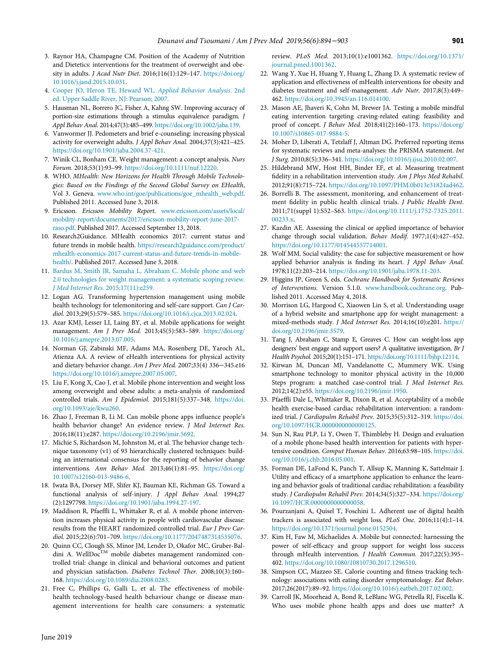- <span id="page-8-13"></span><span id="page-8-0"></span>3. Raynor HA, Champagne CM. Position of the Academy of Nutrition and Dietetics: interventions for the treatment of overweight and obesity in adults. J Acad Nutr Diet. 2016;116(1):129–147. [https://doi.org/](https://doi.org/10.1016/j.jand.2015.10.031) [10.1016/j.jand.2015.10.031](https://doi.org/10.1016/j.jand.2015.10.031).
- <span id="page-8-1"></span>4. [Cooper JO, Heron TE, Heward WL.](http://refhub.elsevier.com/S0749-3797(19)30025-X/sbref0004) Applied Behavior Analysis. 2nd [ed. Upper Saddle River, NJ: Pearson; 2007.](http://refhub.elsevier.com/S0749-3797(19)30025-X/sbref0004)
- <span id="page-8-14"></span><span id="page-8-2"></span>5. Hausman NL, Borrero JC, Fisher A, Kahng SW. Improving accuracy of portion-size estimations through a stimulus equivalence paradigm. J Appl Behav Anal. 2014;47(3):485–499. <https://doi.org/10.1002/jaba.139>.
- <span id="page-8-15"></span>6. Vanwormer JJ. Pedometers and brief e-counseling: increasing physical activity for overweight adults. J Appl Behav Anal. 2004;37(3):421–425. [https://doi.org/10.1901/jaba.2004.37-421.](https://doi.org/10.1901/jaba.2004.37-421)
- <span id="page-8-16"></span><span id="page-8-3"></span>7. Winik CL, Bonham CE. Weight management: a concept analysis. Nurs Forum. 2018;53(1):93–99. <https://doi.org/10.1111/nuf.12220>.
- <span id="page-8-29"></span><span id="page-8-4"></span>8. WHO. MHealth: New Horizons for Health Through Mobile Technologies: Based on the Findings of the Second Global Survey on EHealth, Vol 3. Geneva. [www.who.int/goe/publications/goe\\_mhealth\\_web.pdf](http://www.who.int/goe/publications/goe_mhealth_web.pdf). Published 2011. Accessed June 3, 2018.
- <span id="page-8-5"></span>9. Ericsson. Ericsson Mobility Report. [www.ericsson.com/assets/local/](http://www.ericsson.com/assets/local/mobility-report/documents/2017/ericsson-mobility-report-june-2017-raso.pdf) [mobility-report/documents/2017/ericsson-mobility-report-june-2017](http://www.ericsson.com/assets/local/mobility-report/documents/2017/ericsson-mobility-report-june-2017-raso.pdf) [raso.pdf](http://www.ericsson.com/assets/local/mobility-report/documents/2017/ericsson-mobility-report-june-2017-raso.pdf). Published 2017. Accessed September 13, 2018.
- <span id="page-8-17"></span><span id="page-8-6"></span>10. Research2Guidance. MHealth economics 2017: current status and future trends in mobile health. [https://research2guidance.com/product/](https://research2guidance.com/product/mhealth-economics-2017-current-status-and-future-trends-in-mobile-health/) [mhealth-economics-2017-current-status-and-future-trends-in-mobile](https://research2guidance.com/product/mhealth-economics-2017-current-status-and-future-trends-in-mobile-health/)[health/.](https://research2guidance.com/product/mhealth-economics-2017-current-status-and-future-trends-in-mobile-health/) Published 2017. Accessed June 3, 2018.
- <span id="page-8-18"></span><span id="page-8-7"></span>11. [Bardus M, Smith JR, Samaha L, Abraham C. Mobile phone and web](http://refhub.elsevier.com/S0749-3797(19)30025-X/sbref0011) [2.0 technologies for weight management: a systematic scoping review.](http://refhub.elsevier.com/S0749-3797(19)30025-X/sbref0011) [J Med Internet Res.](http://refhub.elsevier.com/S0749-3797(19)30025-X/sbref0011) 2015;17(11):e259.
- <span id="page-8-19"></span>12. Logan AG. Transforming hypertension management using mobile health technology for telemonitoring and self-care support. Can J Cardiol. 2013;29(5):579–585. <https://doi.org/10.1016/j.cjca.2013.02.024>.
- <span id="page-8-8"></span>13. Azar KMJ, Lesser LI, Laing BY, et al. Mobile applications for weight management. Am J Prev Med. 2013;45(5):583–589. [https://doi.org/](https://doi.org/10.1016/j.amepre.2013.07.005) [10.1016/j.amepre.2013.07.005](https://doi.org/10.1016/j.amepre.2013.07.005).
- <span id="page-8-24"></span><span id="page-8-20"></span>14. Norman GJ, Zabinski MF, Adams MA, Rosenberg DE, Yaroch AL, Atienza AA. A review of eHealth interventions for physical activity and dietary behavior change. Am J Prev Med. 2007;33(4) 336−345.e16 <https://doi.org/10.1016/j.amepre.2007.05.007>.
- <span id="page-8-21"></span>15. Liu F, Kong X, Cao J, et al. Mobile phone intervention and weight loss among overweight and obese adults: a meta-analysis of randomized controlled trials. Am J Epidemiol. 2015;181(5):337–348. [https://doi.](https://doi.org/10.1093/aje/kwu260) [org/10.1093/aje/kwu260.](https://doi.org/10.1093/aje/kwu260)
- 16. Zhao J, Freeman B, Li M. Can mobile phone apps influence people's health behavior change? An evidence review. J Med Internet Res. 2016;18(11):e287. <https://doi.org/10.2196/jmir.5692>.
- <span id="page-8-22"></span><span id="page-8-9"></span>17. Michie S, Richardson M, Johnston M, et al. The behavior change technique taxonomy (v1) of 93 hierarchically clustered techniques: building an international consensus for the reporting of behavior change interventions. Ann Behav Med. 2013;46(1):81–95. [https://doi.org/](https://doi.org/10.1007/s12160-013-9486-6) [10.1007/s12160-013-9486-6](https://doi.org/10.1007/s12160-013-9486-6).
- <span id="page-8-23"></span><span id="page-8-10"></span>18. Iwata BA, Dorsey MF, Slifer KJ, Bauman KE, Richman GS. Toward a functional analysis of self-injury. J Appl Behav Anal. 1994;27 (2):1297798. <https://doi.org/10.1901/jaba.1994.27-197>.
- <span id="page-8-28"></span><span id="page-8-11"></span>19. Maddison R, Pfaeffli L, Whittaker R, et al. A mobile phone intervention increases physical activity in people with cardiovascular disease: results from the HEART randomized controlled trial. Eur J Prev Cardiol. 2015;22(6):701–709. [https://doi.org/10.1177/2047487314535076.](https://doi.org/10.1177/2047487314535076)
- <span id="page-8-25"></span>20. Quinn CC, Clough SS, Minor JM, Lender D, Okafor MC, Gruber-Baldini A. WellDoc<sup>TM</sup> mobile diabetes management randomized controlled trial: change in clinical and behavioral outcomes and patient and physician satisfaction. Diabetes Technol Ther. 2008;10(3):160– 168. [https://doi.org/10.1089/dia.2008.0283.](https://doi.org/10.1089/dia.2008.0283)
- <span id="page-8-27"></span><span id="page-8-26"></span><span id="page-8-12"></span>21. Free C, Phillips G, Galli L, et al. The effectiveness of mobilehealth technology-based health behaviour change or disease management interventions for health care consumers: a systematic

review. PLoS Med. 2013;10(1):e1001362. https://doi.org[/10.1371/](https://doi.org/10.1371/journal.pmed.1001362) [journal.pmed.1001362.](https://doi.org/10.1371/journal.pmed.1001362)

- 22. Wang Y, Xue H, Huang Y, Huang L, Zhang D. A systematic review of application and effectiveness of mHealth interventions for obesity and diabetes treatment and self-management. Adv Nutr. 2017;8(3):449– 462. [https://doi.org/10.3945/an.116.014100.](https://doi.org/10.3945/an.116.014100)
- 23. Mason AE, Jhaveri K, Cohn M, Brewer JA. Testing a mobile mindful eating intervention targeting craving-related eating: feasibility and proof of concept. J Behav Med. 2018;41(2):160–173. [https://doi.org/](https://doi.org/10.1007/s10865-017-9884-5) [10.1007/s10865-017-9884-5](https://doi.org/10.1007/s10865-017-9884-5).
- 24. Moher D, Liberati A, Tetzlaff J, Altman DG. Preferred reporting items for systematic reviews and meta-analyses: the PRISMA statement. Int J Surg. 2010;8(5):336–341. <https://doi.org/10.1016/j.ijsu.2010.02.007>.
- 25. Hildebrand MW, Host HH, Binder EF, et al. Measuring treatment fidelity in a rehabilitation intervention study. Am J Phys Med Rehabil. 2012;91(8):715–724. <https://doi.org/10.1097/PHM.0b013e31824ad462>.
- 26. Borrelli B. The assessment, monitoring, and enhancement of treatment fidelity in public health clinical trials. J Public Health Dent. 2011;71(suppl 1):S52–S63. [https://doi.org/10.1111/j.1752-7325.2011.](https://doi.org/10.1111/j.1752-7325.2011.00233.x) [00233.x](https://doi.org/10.1111/j.1752-7325.2011.00233.x).
- 27. Kazdin AE. Assessing the clinical or applied importance of behavior change through social validation. Behav Modif. 1977;1(4):427–452. <https://doi.org/10.1177/014544557714001>.
- 28. Wolf MM. Social validity: the case for subjective measurement or how applied behavior analysis is finding its heart. J Appl Behav Anal. 1978;11(2):203–214. [https://doi.org/10.1901/jaba.1978.11-203.](https://doi.org/10.1901/jaba.1978.11-203)
- 29. Higgins JP, Green S, eds. Cochrane Handbook for Systematic Reviews of Interventions. Version 5.1.0. [www.handbook.cochrane.org](http://www.handbook.cochrane.org). Published 2011. Accessed May 4, 2018.
- 30. Morrison LG, Hargood C, Xiaowen Lin S, et al. Understanding usage of a hybrid website and smartphone app for weight management: a mixed-methods study. J Med Internet Res. 2014;16(10):e201. [https://](https://doi.org/10.2196/jmir.3579) [doi.org/10.2196/jmir.3579.](https://doi.org/10.2196/jmir.3579)
- 31. Tang J, Abraham C, Stamp E, Greaves C. How can weight-loss app designers' best engage and support users? A qualitative investigation. Br J Health Psychol. 2015;20(1):151–171. [https://doi.org/10.1111/bjhp.12114.](https://doi.org/10.1111/bjhp.12114)
- 32. Kirwan M, Duncan MJ, Vandelanotte C, Mummery WK. Using smartphone technology to monitor physical activity in the 10,000 Steps program: a matched case-control trial. J Med Internet Res. 2012;14(2):e55. [https://doi.org/10.2196/jmir.1950.](https://doi.org/10.2196/jmir.1950)
- 33. Pfaeffli Dale L, Whittaker R, Dixon R, et al. Acceptability of a mobile health exercise-based cardiac rehabilitation intervention: a randomized trial. J Cardiopulm Rehabil Prev. 2015;35(5):312–319. [https://doi.](https://doi.org/10.1097/HCR.0000000000000125) [org/10.1097/HCR.0000000000000125](https://doi.org/10.1097/HCR.0000000000000125).
- 34. Sun N, Rau PLP, Li Y, Owen T, Thimbleby H. Design and evaluation of a mobile phone-based health intervention for patients with hypertensive condition. Comput Human Behav. 2016;63:98–105. [https://doi.](https://doi.org/10.1016/j.chb.2016.05.001) [org/10.1016/j.chb.2016.05.001](https://doi.org/10.1016/j.chb.2016.05.001).
- 35. Forman DE, LaFond K, Panch T, Allsup K, Manning K, Sattelmair J. Utility and efficacy of a smartphone application to enhance the learning and behavior goals of traditional cardiac rehabilitation: a feasibility study. J Cardiopulm Rehabil Prev. 2014;34(5):327–334. [https://doi.org/](https://doi.org/10.1097/HCR.0000000000000058) [10.1097/HCR.0000000000000058](https://doi.org/10.1097/HCR.0000000000000058).
- 36. Pourzanjani A, Quisel T, Foschini L. Adherent use of digital health trackers is associated with weight loss. PLoS One. 2016;11(4):1–14. [https://doi.org/10.1371/journal.pone.0152504.](https://doi.org/10.1371/journal.pone.0152504)
- 37. Kim H, Faw M, Michaelides A. Mobile but connected: harnessing the power of self-efficacy and group support for weight loss success through mHealth intervention. J Health Commun. 2017;22(5):395-402. <https://doi.org/10.1080/10810730.2017.1296510>.
- 38. Simpson CC, Mazzeo SE. Calorie counting and fitness tracking technology: associations with eating disorder symptomatology. Eat Behav. 2017;26(2017):89–92. <https://doi.org/10.1016/j.eatbeh.2017.02.002>.
- 39. Carroll JK, Moorhead A, Bond R, LeBlanc WG, Petrella RJ, Fiscella K. Who uses mobile phone health apps and does use matter? A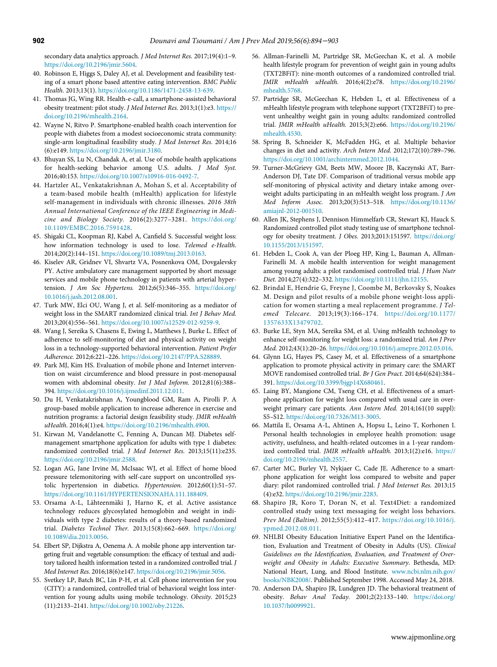secondary data analytics approach. J Med Internet Res. 2017;19(4):1-9. [https://doi.org/10.2196/jmir.5604.](https://doi.org/10.2196/jmir.5604)

- <span id="page-9-10"></span>40. Robinson E, Higgs S, Daley AJ, et al. Development and feasibility testing of a smart phone based attentive eating intervention. BMC Public Health. 2013;13(1). [https://doi.org/10.1186/1471-2458-13-639.](https://doi.org/10.1186/1471-2458-13-639)
- <span id="page-9-12"></span>41. Thomas JG, Wing RR. Health-e-call, a smartphone-assisted behavioral obesity treatment: pilot study. J Med Internet Res. 2013;1(1):e3. [https://](https://doi.org/10.2196/mhealth.2164) [doi.org/10.2196/mhealth.2164.](https://doi.org/10.2196/mhealth.2164)
- <span id="page-9-0"></span>42. Wayne N, Ritvo P. Smartphone-enabled health coach intervention for people with diabetes from a modest socioeconomic strata community: single-arm longitudinal feasibility study. J Med Internet Res. 2014;16 (6):e149. <https://doi.org/10.2196/jmir.3180>.
- <span id="page-9-23"></span><span id="page-9-13"></span>43. Bhuyan SS, Lu N, Chandak A, et al. Use of mobile health applications for health-seeking behavior among U.S. adults. J Med Syst. 2016;40:153. [https://doi.org/10.1007/s10916-016-0492-7.](https://doi.org/10.1007/s10916-016-0492-7)
- <span id="page-9-1"></span>44. Hartzler AL, Venkatakrishnan A, Mohan S, et al. Acceptability of a team-based mobile health (mHealth) application for lifestyle self-management in individuals with chronic illnesses. 2016 38th Annual International Conference of the IEEE Engineering in Medicine and Biology Society. 2016(2):3277–3281. [https://doi.org/](https://doi.org/10.1109/EMBC.2016.7591428) [10.1109/EMBC.2016.7591428](https://doi.org/10.1109/EMBC.2016.7591428).
- <span id="page-9-17"></span>45. Shigaki CL, Koopman RJ, Kabel A, Canfield S. Successful weight loss: how information technology is used to lose. Telemed e-Health. 2014;20(2):144–151. <https://doi.org/10.1089/tmj.2013.0163>.
- <span id="page-9-11"></span><span id="page-9-6"></span>46. Kiselev AR, Gridnev VI, Shvartz VA, Posnenkova OM, Dovgalevsky PY. Active ambulatory care management supported by short message services and mobile phone technology in patients with arterial hypertension. J Am Soc Hypertens. 2012;6(5):346–355. [https://doi.org/](https://doi.org/10.1016/j.jash.2012.08.001) [10.1016/j.jash.2012.08.001](https://doi.org/10.1016/j.jash.2012.08.001).
- <span id="page-9-15"></span><span id="page-9-2"></span>47. Turk MW, Elci OU, Wang J, et al. Self-monitoring as a mediator of weight loss in the SMART randomized clinical trial. Int J Behav Med. 2013;20(4):556–561. <https://doi.org/10.1007/s12529-012-9259-9>.
- <span id="page-9-21"></span><span id="page-9-19"></span>48. Wang J, Sereika S, Chasens E, Ewing L, Matthews J, Burke L. Effect of adherence to self-monitoring of diet and physical activity on weight loss in a technology-supported behavioral intervention. Patient Prefer Adherence. 2012;6:221–226. [https://doi.org/10.2147/PPA.S28889.](https://doi.org/10.2147/PPA.S28889)
- <span id="page-9-16"></span><span id="page-9-3"></span>49. Park MJ, Kim HS. Evaluation of mobile phone and Internet intervention on waist circumference and blood pressure in post-menopausal women with abdominal obesity. Int J Med Inform. 2012;81(6):388– 394. <https://doi.org/10.1016/j.ijmedinf.2011.12.011>.
- <span id="page-9-18"></span><span id="page-9-4"></span>50. Du H, Venkatakrishnan A, Youngblood GM, Ram A, Pirolli P. A group-based mobile application to increase adherence in exercise and nutrition programs: a factorial design feasibility study. JMIR mHealth uHealth. 2016;4(1):e4. <https://doi.org/10.2196/mhealth.4900>.
- <span id="page-9-5"></span>51. Kirwan M, Vandelanotte C, Fenning A, Duncan MJ. Diabetes selfmanagement smartphone application for adults with type 1 diabetes: randomized controlled trial. J Med Internet Res. 2013;15(11):e235. [https://doi.org/10.2196/jmir.2588.](https://doi.org/10.2196/jmir.2588)
- <span id="page-9-7"></span>52. Logan AG, Jane Irvine M, McIsaac WJ, et al. Effect of home blood pressure telemonitoring with self-care support on uncontrolled systolic hypertension in diabetics. Hypertension. 2012;60(1):51–57. <https://doi.org/10.1161/HYPERTENSIONAHA.111.188409>.
- <span id="page-9-8"></span>53. Orsama A-L, Lähteenmäki J, Harno K, et al. Active assistance technology reduces glycosylated hemoglobin and weight in individuals with type 2 diabetes: results of a theory-based randomized trial. Diabetes Technol Ther. 2013;15(8):662–669. [https://doi.org/](https://doi.org/10.1089/dia.2013.0056) [10.1089/dia.2013.0056](https://doi.org/10.1089/dia.2013.0056).
- <span id="page-9-20"></span><span id="page-9-9"></span>54. Elbert SP, Dijkstra A, Oenema A. A mobile phone app intervention targeting fruit and vegetable consumption: the efficacy of textual and auditory tailored health information tested in a randomized controlled trial. J Med Internet Res. 2016;18(6):e147. <https://doi.org/10.2196/jmir.5056>.
- <span id="page-9-22"></span><span id="page-9-14"></span>55. Svetkey LP, Batch BC, Lin P-H, et al. Cell phone intervention for you (CITY): a randomized, controlled trial of behavioral weight loss intervention for young adults using mobile technology. Obesity. 2015;23 (11):2133–2141. [https://doi.org/10.1002/oby.21226.](https://doi.org/10.1002/oby.21226)
- 56. Allman-Farinelli M, Partridge SR, McGeechan K, et al. A mobile health lifestyle program for prevention of weight gain in young adults (TXT2BFiT): nine-month outcomes of a randomized controlled trial. JMIR mHealth uHealth. 2016;4(2):e78. [https://doi.org/10.2196/](https://doi.org/10.2196/mhealth.5768) [mhealth.5768](https://doi.org/10.2196/mhealth.5768).
- 57. Partridge SR, McGeechan K, Hebden L, et al. Effectiveness of a mHealth lifestyle program with telephone support (TXT2BFiT) to prevent unhealthy weight gain in young adults: randomized controlled trial. JMIR mHealth uHealth. 2015;3(2):e66. [https://doi.org/10.2196/](https://doi.org/10.2196/mhealth.4530) [mhealth.4530](https://doi.org/10.2196/mhealth.4530).
- 58. Spring B, Schneider K, McFadden HG, et al. Multiple behavior changes in diet and activity. Arch Intern Med. 2012;172(10):789–796. [https://doi.org/10.1001/archinternmed.2012.1044.](https://doi.org/10.1001/archinternmed.2012.1044)
- 59. Turner-McGrievy GM, Beets MW, Moore JB, Kaczynski AT, Barr-Anderson DJ, Tate DF. Comparison of traditional versus mobile app self-monitoring of physical activity and dietary intake among overweight adults participating in an mHealth weight loss program. J Am Med Inform Assoc. 2013;20(3):513–518. [https://doi.org/10.1136/](https://doi.org/10.1136/amiajnl-2012-001510) [amiajnl-2012-001510.](https://doi.org/10.1136/amiajnl-2012-001510)
- 60. Allen JK, Stephens J, Dennison Himmelfarb CR, Stewart KJ, Hauck S. Randomized controlled pilot study testing use of smartphone technology for obesity treatment. J Obes. 2013;2013:151597. [https://doi.org/](https://doi.org/10.1155/2013/151597) [10.1155/2013/151597](https://doi.org/10.1155/2013/151597).
- 61. Hebden L, Cook A, van der Ploeg HP, King L, Bauman A, Allman-Farinelli M. A mobile health intervention for weight management among young adults: a pilot randomised controlled trial. J Hum Nutr Diet. 2014;27(4):322–332. [https://doi.org/10.1111/jhn.12155.](https://doi.org/10.1111/jhn.12155)
- 62. Brindal E, Hendrie G, Freyne J, Coombe M, Berkovsky S, Noakes M. Design and pilot results of a mobile phone weight-loss application for women starting a meal replacement programme. J Telemed Telecare. 2013;19(3):166–174. [https://doi.org/10.1177/](https://doi.org/10.1177/1357633X13479702) [1357633X13479702](https://doi.org/10.1177/1357633X13479702).
- 63. Burke LE, Styn MA, Sereika SM, et al. Using mHealth technology to enhance self-monitoring for weight loss: a randomized trial. Am J Prev Med. 2012;43(1):20–26. [https://doi.org/10.1016/j.amepre.2012.03.016.](https://doi.org/10.1016/j.amepre.2012.03.016)
- 64. Glynn LG, Hayes PS, Casey M, et al. Effectiveness of a smartphone application to promote physical activity in primary care: the SMART MOVE randomised controlled trial. Br J Gen Pract. 2014;64(624):384– 391. [https://doi.org/10.3399/bjgp14X680461.](https://doi.org/10.3399/bjgp14X680461)
- 65. Laing BY, Mangione CM, Tseng CH, et al. Effectiveness of a smartphone application for weight loss compared with usual care in overweight primary care patients. Ann Intern Med. 2014;161(10 suppl): S5–S12. [https://doi.org/10.7326/M13-3005.](https://doi.org/10.7326/M13-3005)
- 66. Mattila E, Orsama A-L, Ahtinen A, Hopsu L, Leino T, Korhonen I. Personal health technologies in employee health promotion: usage activity, usefulness, and health-related outcomes in a 1-year randomized controlled trial. JMIR mHealth uHealth. 2013;1(2):e16. [https://](https://doi.org/10.2196/mhealth.2557) [doi.org/10.2196/mhealth.2557.](https://doi.org/10.2196/mhealth.2557)
- 67. Carter MC, Burley VJ, Nykjaer C, Cade JE. Adherence to a smartphone application for weight loss compared to website and paper diary: pilot randomized controlled trial. J Med Internet Res. 2013;15 (4):e32. <https://doi.org/10.2196/jmir.2283>.
- 68. Shapiro JR, Koro T, Doran N, et al. Text4Diet: a randomized controlled study using text messaging for weight loss behaviors. Prev Med (Baltim). 2012;55(5):412–417. [https://doi.org/10.1016/j.](https://doi.org/10.1016/j.ypmed.2012.08.011) [ypmed.2012.08.011.](https://doi.org/10.1016/j.ypmed.2012.08.011)
- 69. NHLBI Obesity Education Initiative Expert Panel on the Identification, Evaluation and Treatment of Obesity in Adults (US). Clinical Guidelines on the Identification, Evaluation, and Treatment of Overweight and Obesity in Adults: Executive Summary. Bethesda, MD: National Heart, Lung, and Blood Institute. [www.ncbi.nlm.nih.gov/](https://www.ncbi.nlm.nih.gov/books/NBK2008/) [books/NBK2008/](https://www.ncbi.nlm.nih.gov/books/NBK2008/). Published September 1998. Accessed May 24, 2018.
- 70. Anderson DA, Shapiro JR, Lundgren JD. The behavioral treatment of obesity. Behav Anal Today. 2001;2(2):133–140. [https://doi.org/](https://doi.org/10.1037/h0099921) [10.1037/h0099921](https://doi.org/10.1037/h0099921).

www.ajpmonline.org